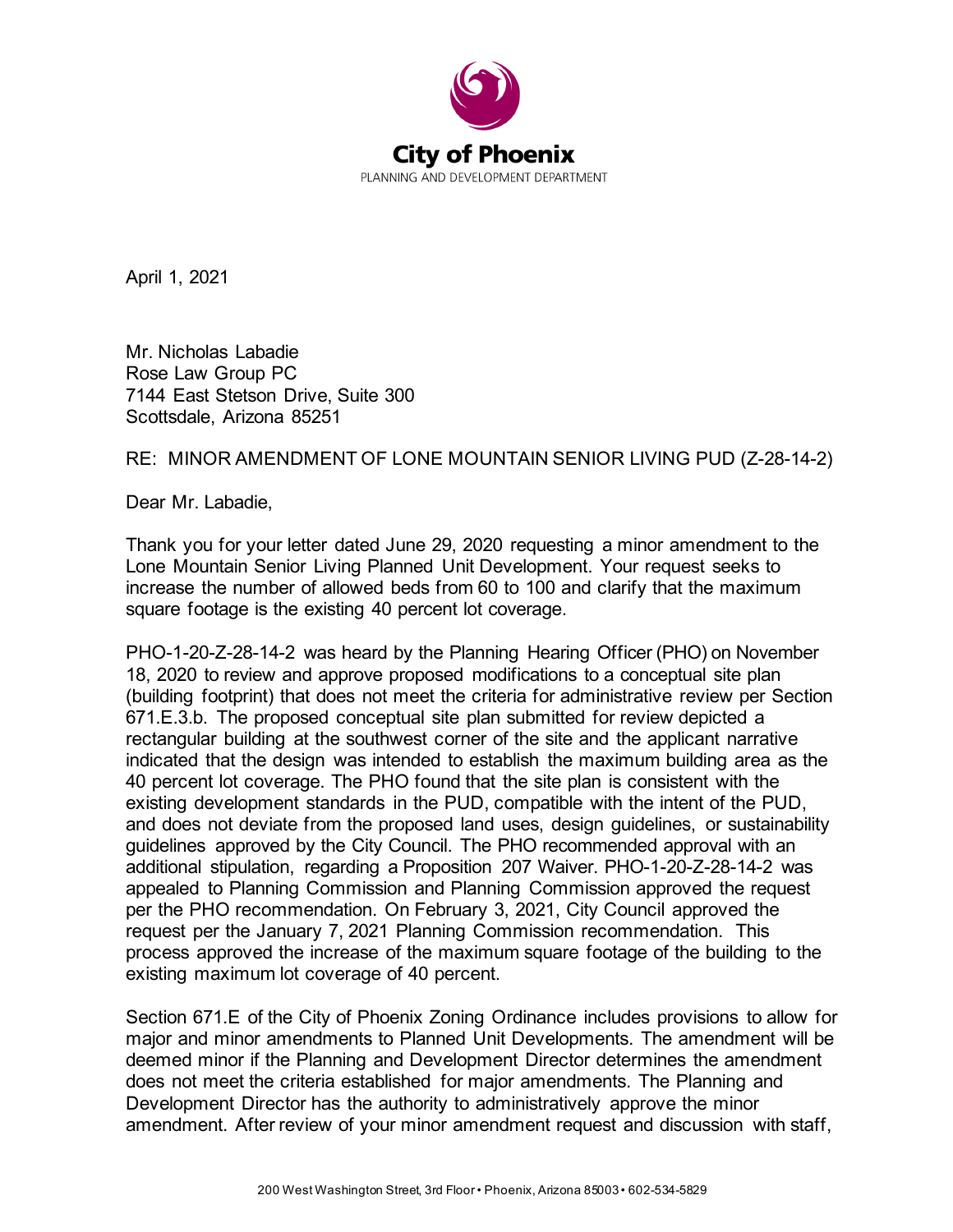

April 1, 2021

Mr. Nicholas Labadie Rose Law Group PC 7144 East Stetson Drive, Suite 300 Scottsdale, Arizona 85251

## RE: MINOR AMENDMENT OF LONE MOUNTAIN SENIOR LIVING PUD (Z-28-14-2)

Dear Mr. Labadie,

Thank you for your letter dated June 29, 2020 requesting a minor amendment to the Lone Mountain Senior Living Planned Unit Development. Your request seeks to increase the number of allowed beds from 60 to 100 and clarify that the maximum square footage is the existing 40 percent lot coverage.

PHO-1-20-Z-28-14-2 was heard by the Planning Hearing Officer (PHO) on November 18, 2020 to review and approve proposed modifications to a conceptual site plan (building footprint) that does not meet the criteria for administrative review per Section 671.E.3.b. The proposed conceptual site plan submitted for review depicted a rectangular building at the southwest corner of the site and the applicant narrative indicated that the design was intended to establish the maximum building area as the 40 percent lot coverage. The PHO found that the site plan is consistent with the existing development standards in the PUD, compatible with the intent of the PUD, and does not deviate from the proposed land uses, design guidelines, or sustainability guidelines approved by the City Council. The PHO recommended approval with an additional stipulation, regarding a Proposition 207 Waiver. PHO-1-20-Z-28-14-2 was appealed to Planning Commission and Planning Commission approved the request per the PHO recommendation. On February 3, 2021, City Council approved the request per the January 7, 2021 Planning Commission recommendation. This process approved the increase of the maximum square footage of the building to the existing maximum lot coverage of 40 percent.

Section 671.E of the City of Phoenix Zoning Ordinance includes provisions to allow for major and minor amendments to Planned Unit Developments. The amendment will be deemed minor if the Planning and Development Director determines the amendment does not meet the criteria established for major amendments. The Planning and Development Director has the authority to administratively approve the minor amendment. After review of your minor amendment request and discussion with staff,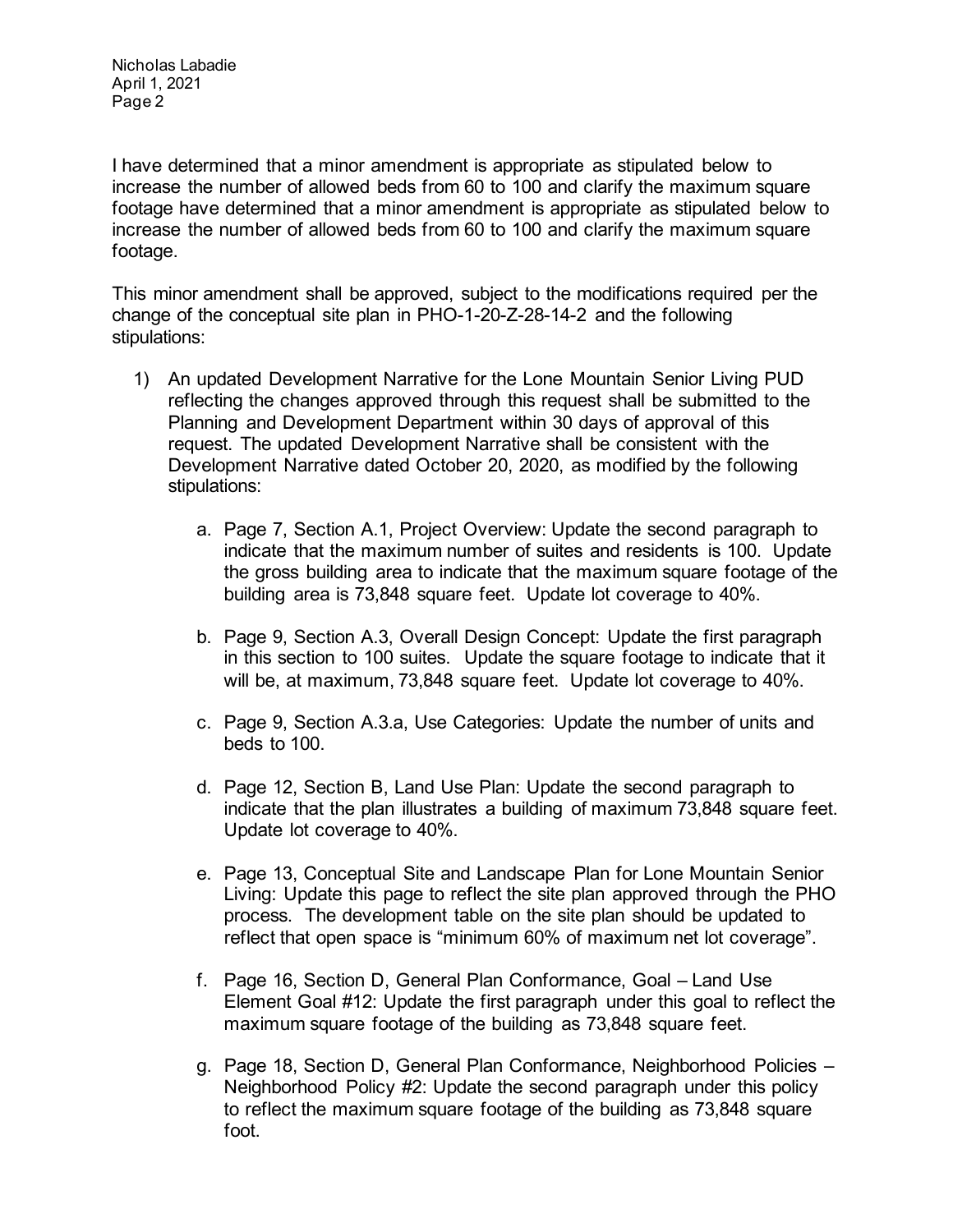Nicholas Labadie April 1, 2021 Page 2

I have determined that a minor amendment is appropriate as stipulated below to increase the number of allowed beds from 60 to 100 and clarify the maximum square footage have determined that a minor amendment is appropriate as stipulated below to increase the number of allowed beds from 60 to 100 and clarify the maximum square footage.

This minor amendment shall be approved, subject to the modifications required per the change of the conceptual site plan in PHO-1-20-Z-28-14-2 and the following stipulations:

- 1) An updated Development Narrative for the Lone Mountain Senior Living PUD reflecting the changes approved through this request shall be submitted to the Planning and Development Department within 30 days of approval of this request. The updated Development Narrative shall be consistent with the Development Narrative dated October 20, 2020, as modified by the following stipulations:
	- a. Page 7, Section A.1, Project Overview: Update the second paragraph to indicate that the maximum number of suites and residents is 100. Update the gross building area to indicate that the maximum square footage of the building area is 73,848 square feet. Update lot coverage to 40%.
	- b. Page 9, Section A.3, Overall Design Concept: Update the first paragraph in this section to 100 suites. Update the square footage to indicate that it will be, at maximum, 73,848 square feet. Update lot coverage to 40%.
	- c. Page 9, Section A.3.a, Use Categories: Update the number of units and beds to 100.
	- d. Page 12, Section B, Land Use Plan: Update the second paragraph to indicate that the plan illustrates a building of maximum 73,848 square feet. Update lot coverage to 40%.
	- e. Page 13, Conceptual Site and Landscape Plan for Lone Mountain Senior Living: Update this page to reflect the site plan approved through the PHO process. The development table on the site plan should be updated to reflect that open space is "minimum 60% of maximum net lot coverage".
	- f. Page 16, Section D, General Plan Conformance, Goal Land Use Element Goal #12: Update the first paragraph under this goal to reflect the maximum square footage of the building as 73,848 square feet.
	- g. Page 18, Section D, General Plan Conformance, Neighborhood Policies Neighborhood Policy #2: Update the second paragraph under this policy to reflect the maximum square footage of the building as 73,848 square foot.